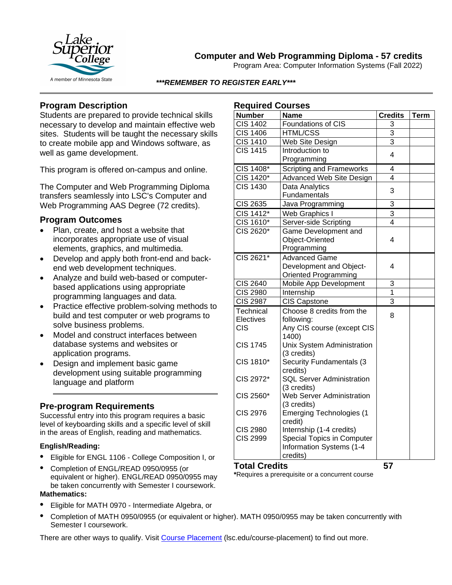

# **Computer and Web Programming Diploma - 57 credits**

Program Area: Computer Information Systems (Fall 2022)

#### *\*\*\*REMEMBER TO REGISTER EARLY\*\*\**

### **Program Description**

Students are prepared to provide technical skills necessary to develop and maintain effective web sites. Students will be taught the necessary skills to create mobile app and Windows software, as well as game development.

This program is offered on-campus and online.

The Computer and Web Programming Diploma transfers seamlessly into LSC's Computer and Web Programming AAS Degree (72 credits).

### **Program Outcomes**

- Plan, create, and host a website that incorporates appropriate use of visual elements, graphics, and multimedia.
- Develop and apply both front-end and backend web development techniques.
- Analyze and build web-based or computerbased applications using appropriate programming languages and data.
- Practice effective problem-solving methods to build and test computer or web programs to solve business problems.
- Model and construct interfaces between database systems and websites or application programs.
- Design and implement basic game development using suitable programming language and platform

## **Pre-program Requirements**

Successful entry into this program requires a basic level of keyboarding skills and a specific level of skill in the areas of English, reading and mathematics.

#### **English/Reading:**

- Eligible for ENGL 1106 College Composition I, or
- Completion of ENGL/READ 0950/0955 (or equivalent or higher). ENGL/READ 0950/0955 may be taken concurrently with Semester I coursework. **Mathematics:**
- Eligible for MATH 0970 Intermediate Algebra, or
- Completion of MATH 0950/0955 (or equivalent or higher). MATH 0950/0955 may be taken concurrently with Semester I coursework.

There are other ways to qualify. Visit [Course Placement](https://www.lsc.edu/course-placement/) (lsc.edu/course-placement) to find out more.

### **Required Courses**

| <b>Required Courses</b> |                                                 |                |      |
|-------------------------|-------------------------------------------------|----------------|------|
| <b>Number</b>           | <b>Name</b>                                     | <b>Credits</b> | Term |
| <b>CIS 1402</b>         | Foundations of CIS                              | 3              |      |
| <b>CIS 1406</b>         | <b>HTML/CSS</b>                                 | $\overline{3}$ |      |
| <b>CIS 1410</b>         | Web Site Design                                 | $\overline{3}$ |      |
| <b>CIS 1415</b>         | Introduction to                                 | 4              |      |
|                         | Programming                                     |                |      |
| CIS 1408*               | <b>Scripting and Frameworks</b>                 | 4              |      |
| CIS 1420*               | Advanced Web Site Design                        | 4              |      |
| CIS 1430                | Data Analytics                                  | 3              |      |
|                         | Fundamentals                                    |                |      |
| <b>CIS 2635</b>         | Java Programming                                | 3              |      |
| <b>CIS 1412*</b>        | Web Graphics I                                  | 3              |      |
| $\overline{CIS}$ 1610*  | Server-side Scripting                           | 4              |      |
| CIS 2620*               | Game Development and                            |                |      |
|                         | Object-Oriented                                 | 4              |      |
|                         | Programming                                     |                |      |
| CIS 2621*               | <b>Advanced Game</b>                            |                |      |
|                         | Development and Object-                         | 4              |      |
|                         | <b>Oriented Programming</b>                     |                |      |
| <b>CIS 2640</b>         | Mobile App Development                          | 3              |      |
| <b>CIS 2980</b>         | Internship                                      | 1              |      |
| <b>CIS 2987</b>         | <b>CIS Capstone</b>                             | 3              |      |
| Technical               | Choose 8 credits from the                       | 8              |      |
| Electives               | following:                                      |                |      |
| <b>CIS</b>              | Any CIS course (except CIS                      |                |      |
|                         | 1400)                                           |                |      |
| <b>CIS 1745</b>         | Unix System Administration                      |                |      |
|                         | (3 credits)                                     |                |      |
| CIS 1810*               | <b>Security Fundamentals (3</b>                 |                |      |
|                         | credits)                                        |                |      |
| CIS 2972*               | <b>SQL Server Administration</b>                |                |      |
| CIS 2560*               | (3 credits)<br><b>Web Server Administration</b> |                |      |
|                         | (3 credits)                                     |                |      |
| <b>CIS 2976</b>         | <b>Emerging Technologies (1</b>                 |                |      |
|                         | credit)                                         |                |      |
| <b>CIS 2980</b>         | Internship (1-4 credits)                        |                |      |
| <b>CIS 2999</b>         | <b>Special Topics in Computer</b>               |                |      |
|                         | <b>Information Systems (1-4</b>                 |                |      |
|                         | credits)                                        |                |      |
|                         |                                                 |                |      |

#### **Total Credits 57**

**\***Requires a prerequisite or a concurrent course